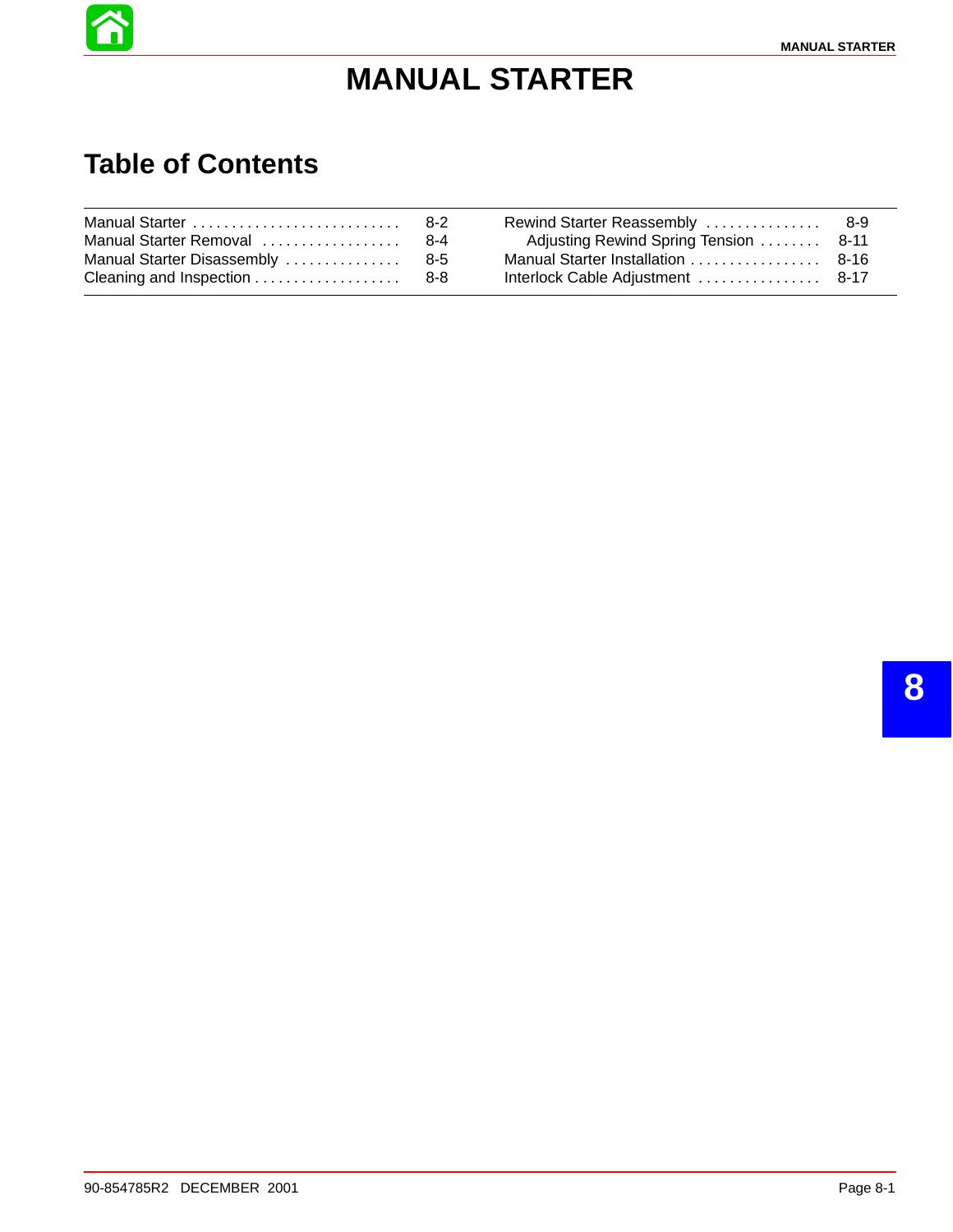

# **MANUAL STARTER**

# **Table of Contents**

| Manual Starter Removal  8-4 | Adjusting Rewind Spring Tension  8-11 |  |
|-----------------------------|---------------------------------------|--|
|                             |                                       |  |
|                             |                                       |  |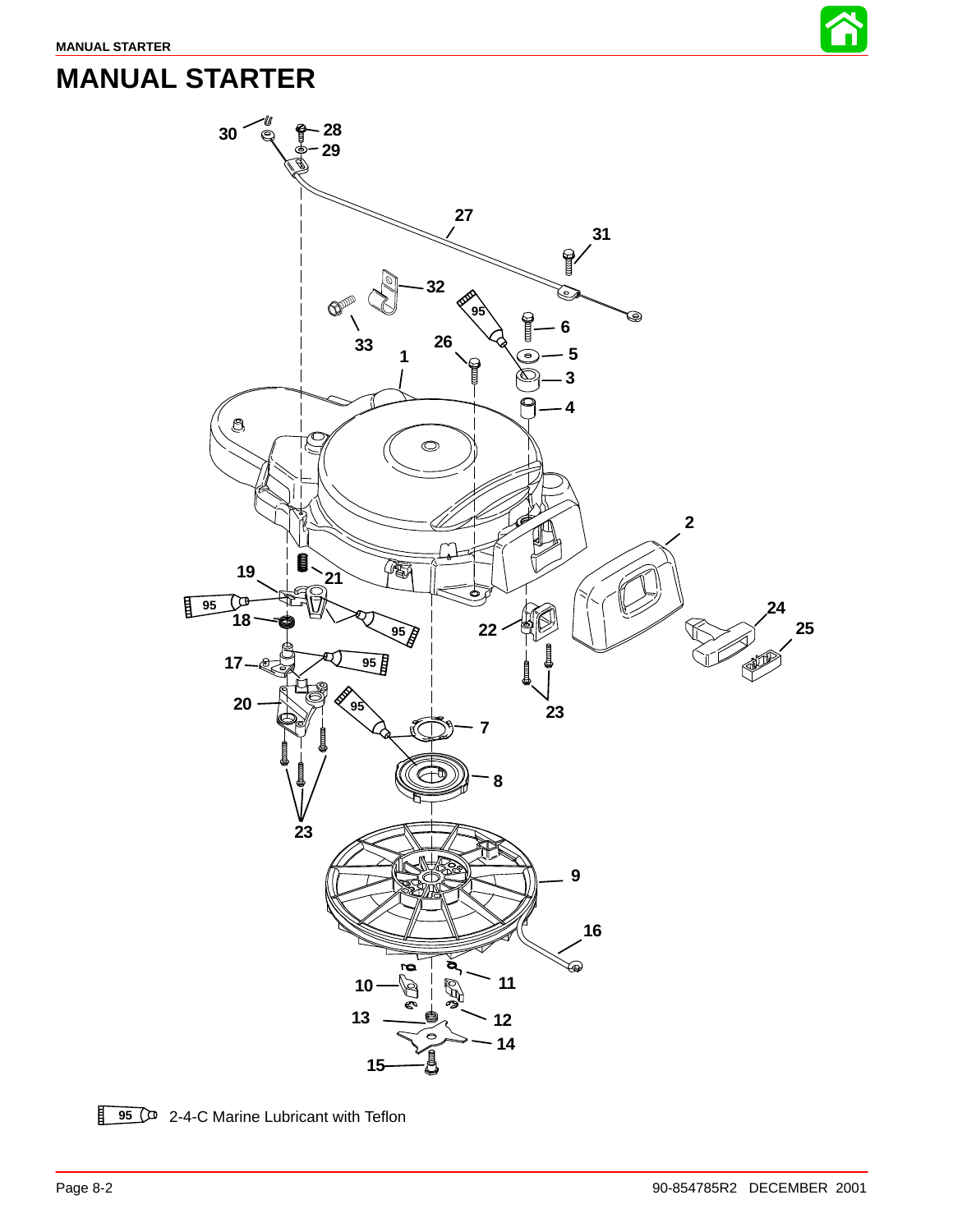

# **MANUAL STARTER**



**95** <sup>2</sup> 2-4-C Marine Lubricant with Teflon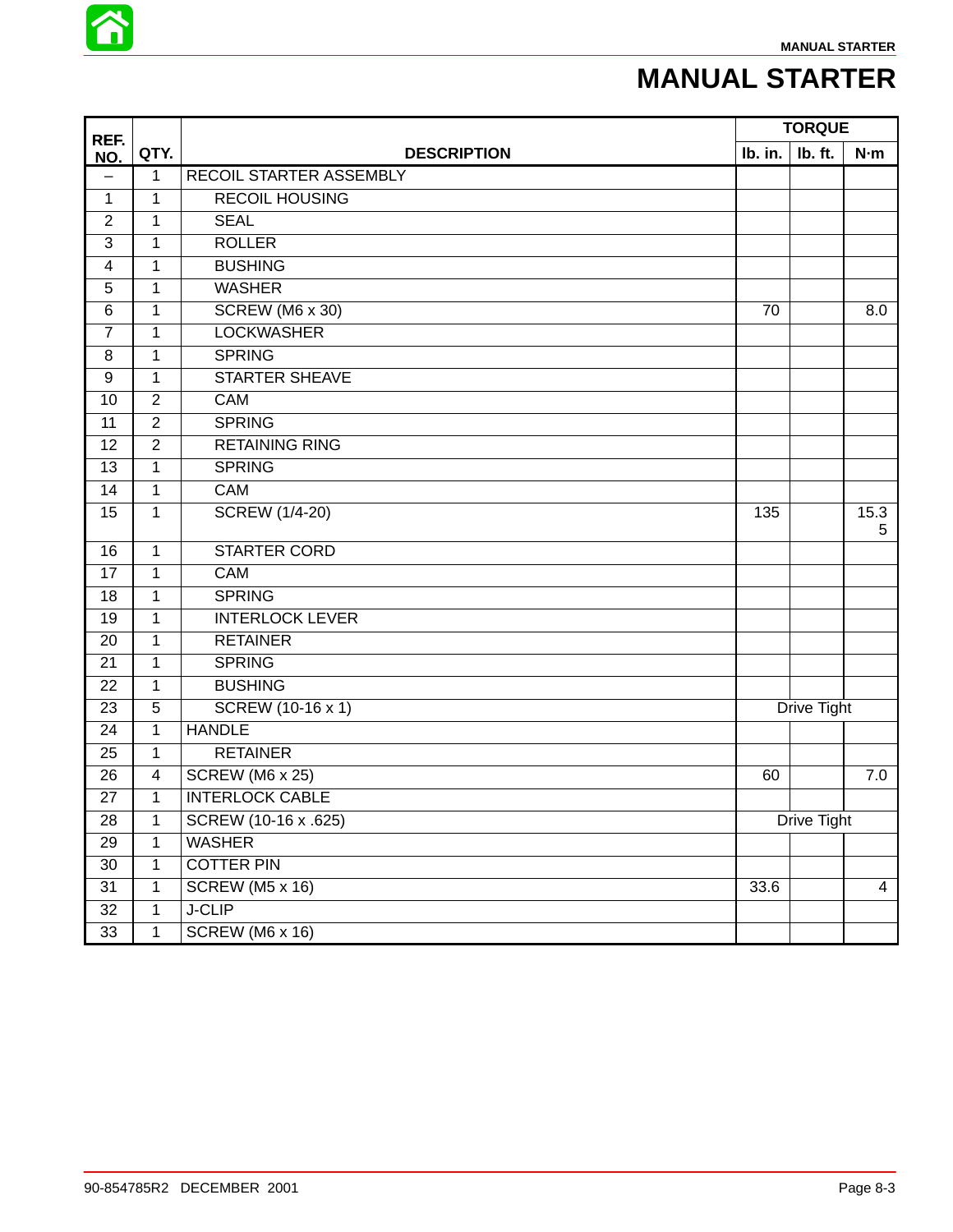

# **MANUAL STARTER**

| REF.                     |                |                         |             | <b>TORQUE</b> |                |  |
|--------------------------|----------------|-------------------------|-------------|---------------|----------------|--|
| NO.                      | QTY.           | <b>DESCRIPTION</b>      | Ib. in.     | Ib. ft.       | N·m            |  |
| $\overline{\phantom{0}}$ | $\mathbf{1}$   | RECOIL STARTER ASSEMBLY |             |               |                |  |
| 1                        | $\mathbf{1}$   | <b>RECOIL HOUSING</b>   |             |               |                |  |
| $\overline{2}$           | $\mathbf{1}$   | <b>SEAL</b>             |             |               |                |  |
| $\mathbf{3}$             | $\mathbf{1}$   | <b>ROLLER</b>           |             |               |                |  |
| 4                        | 1              | <b>BUSHING</b>          |             |               |                |  |
| 5                        | $\mathbf{1}$   | <b>WASHER</b>           |             |               |                |  |
| 6                        | $\mathbf{1}$   | <b>SCREW (M6 x 30)</b>  | 70          |               | 8.0            |  |
| $\overline{7}$           | $\mathbf{1}$   | <b>LOCKWASHER</b>       |             |               |                |  |
| 8                        | $\mathbf{1}$   | <b>SPRING</b>           |             |               |                |  |
| $\boldsymbol{9}$         | $\mathbf 1$    | <b>STARTER SHEAVE</b>   |             |               |                |  |
| 10                       | $\overline{2}$ | CAM                     |             |               |                |  |
| 11                       | $\overline{2}$ | <b>SPRING</b>           |             |               |                |  |
| 12                       | $\overline{2}$ | <b>RETAINING RING</b>   |             |               |                |  |
| 13                       | $\mathbf{1}$   | <b>SPRING</b>           |             |               |                |  |
| 14                       | $\mathbf 1$    | CAM                     |             |               |                |  |
| 15                       | $\mathbf{1}$   | <b>SCREW (1/4-20)</b>   | 135         |               | 15.3<br>5      |  |
| 16                       | $\mathbf{1}$   | <b>STARTER CORD</b>     |             |               |                |  |
| 17                       | $\mathbf{1}$   | <b>CAM</b>              |             |               |                |  |
| 18                       | $\mathbf{1}$   | <b>SPRING</b>           |             |               |                |  |
| 19                       | $\mathbf{1}$   | <b>INTERLOCK LEVER</b>  |             |               |                |  |
| 20                       | $\mathbf 1$    | <b>RETAINER</b>         |             |               |                |  |
| 21                       | $\mathbf{1}$   | <b>SPRING</b>           |             |               |                |  |
| 22                       | $\mathbf 1$    | <b>BUSHING</b>          |             |               |                |  |
| 23                       | 5              | SCREW (10-16 x 1)       |             | Drive Tight   |                |  |
| 24                       | $\mathbf{1}$   | <b>HANDLE</b>           |             |               |                |  |
| 25                       | $\mathbf{1}$   | <b>RETAINER</b>         |             |               |                |  |
| 26                       | $\overline{4}$ | SCREW (M6 x 25)         | 60          |               | 7.0            |  |
| 27                       | $\mathbf{1}$   | <b>INTERLOCK CABLE</b>  |             |               |                |  |
| 28                       | $\mathbf{1}$   | SCREW (10-16 x .625)    | Drive Tight |               |                |  |
| $\overline{29}$          | $\overline{1}$ | <b>WASHER</b>           |             |               |                |  |
| 30                       | $\mathbf{1}$   | <b>COTTER PIN</b>       |             |               |                |  |
| 31                       | $\mathbf{1}$   | <b>SCREW (M5 x 16)</b>  | 33.6        |               | $\overline{4}$ |  |
| 32                       | $\mathbf{1}$   | <b>J-CLIP</b>           |             |               |                |  |
| 33                       | $\mathbf{1}$   | SCREW (M6 x 16)         |             |               |                |  |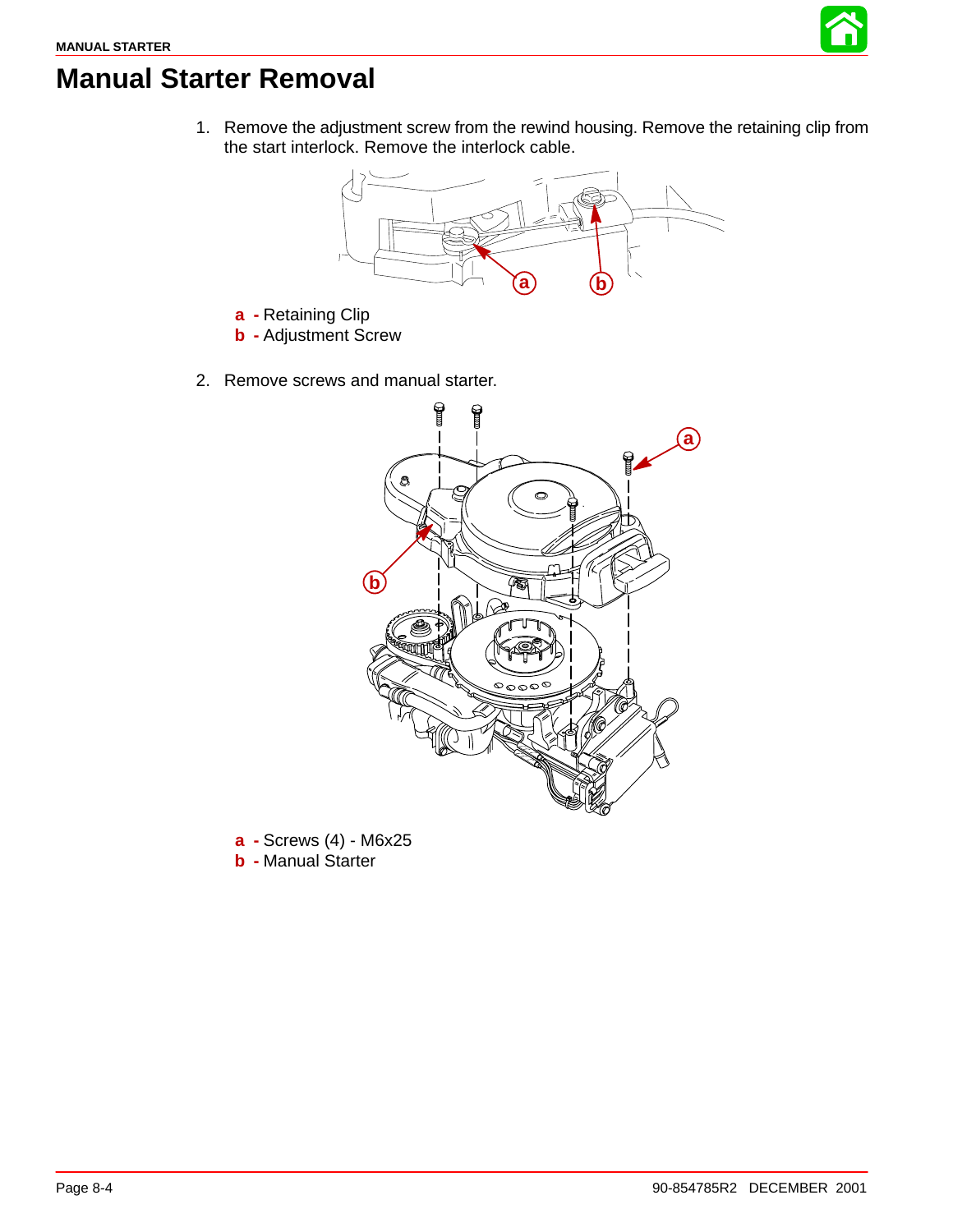

### <span id="page-3-0"></span>**Manual Starter Removal**

1. Remove the adjustment screw from the rewind housing. Remove the retaining clip from the start interlock. Remove the interlock cable.



- **a -** Retaining Clip
- **b -** Adjustment Screw
- 2. Remove screws and manual starter.



**a -** Screws (4) - M6x25 **b -** Manual Starter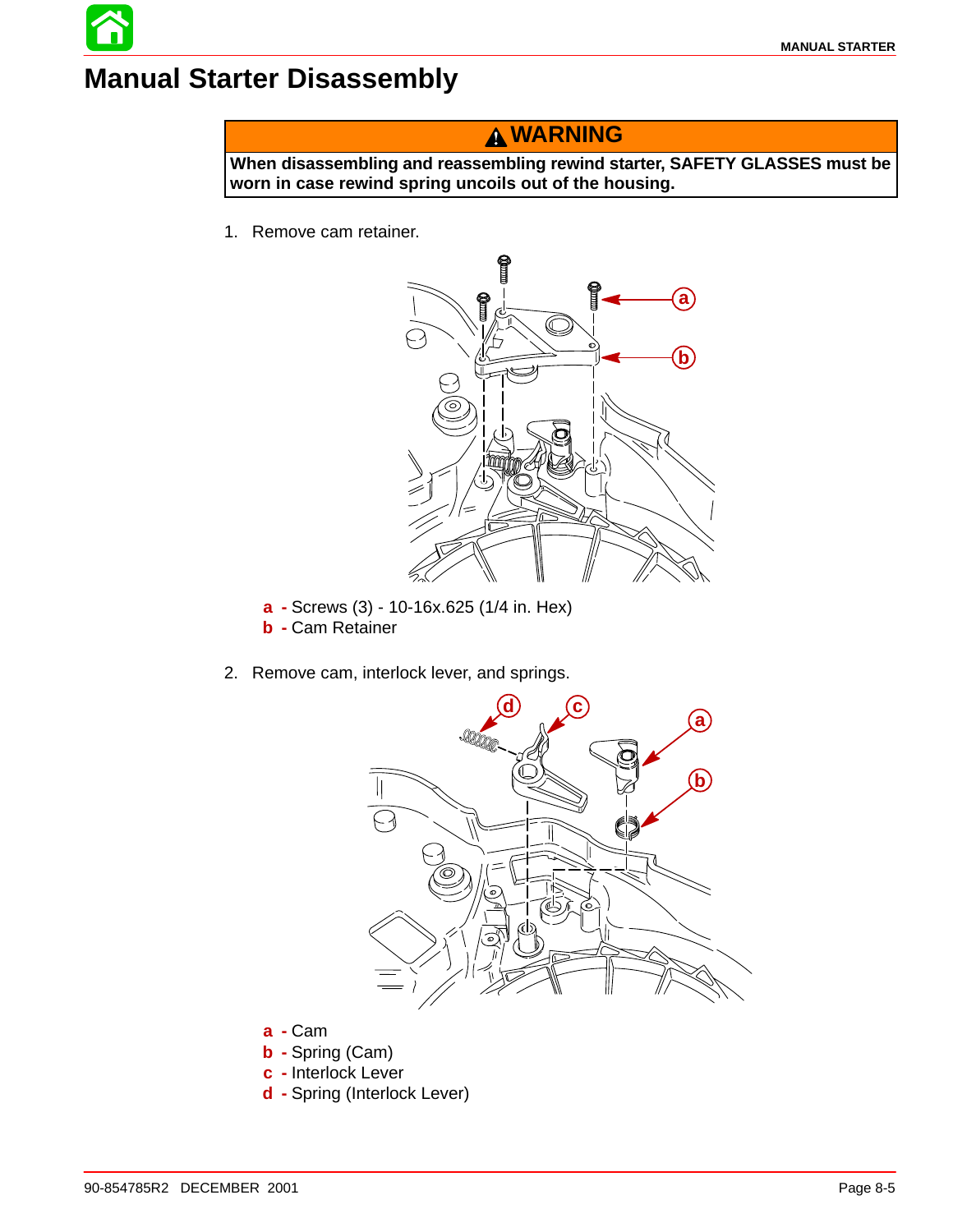## **Manual Starter Disassembly**

#### **WARNING**

**When disassembling and reassembling rewind starter, SAFETY GLASSES must be worn in case rewind spring uncoils out of the housing.**

1. Remove cam retainer.



- **a -** Screws (3) 10-16x.625 (1/4 in. Hex)
- **b -** Cam Retainer
- 2. Remove cam, interlock lever, and springs.



- **a -** Cam
- **b -** Spring (Cam)
- **c -** Interlock Lever
- **d -** Spring (Interlock Lever)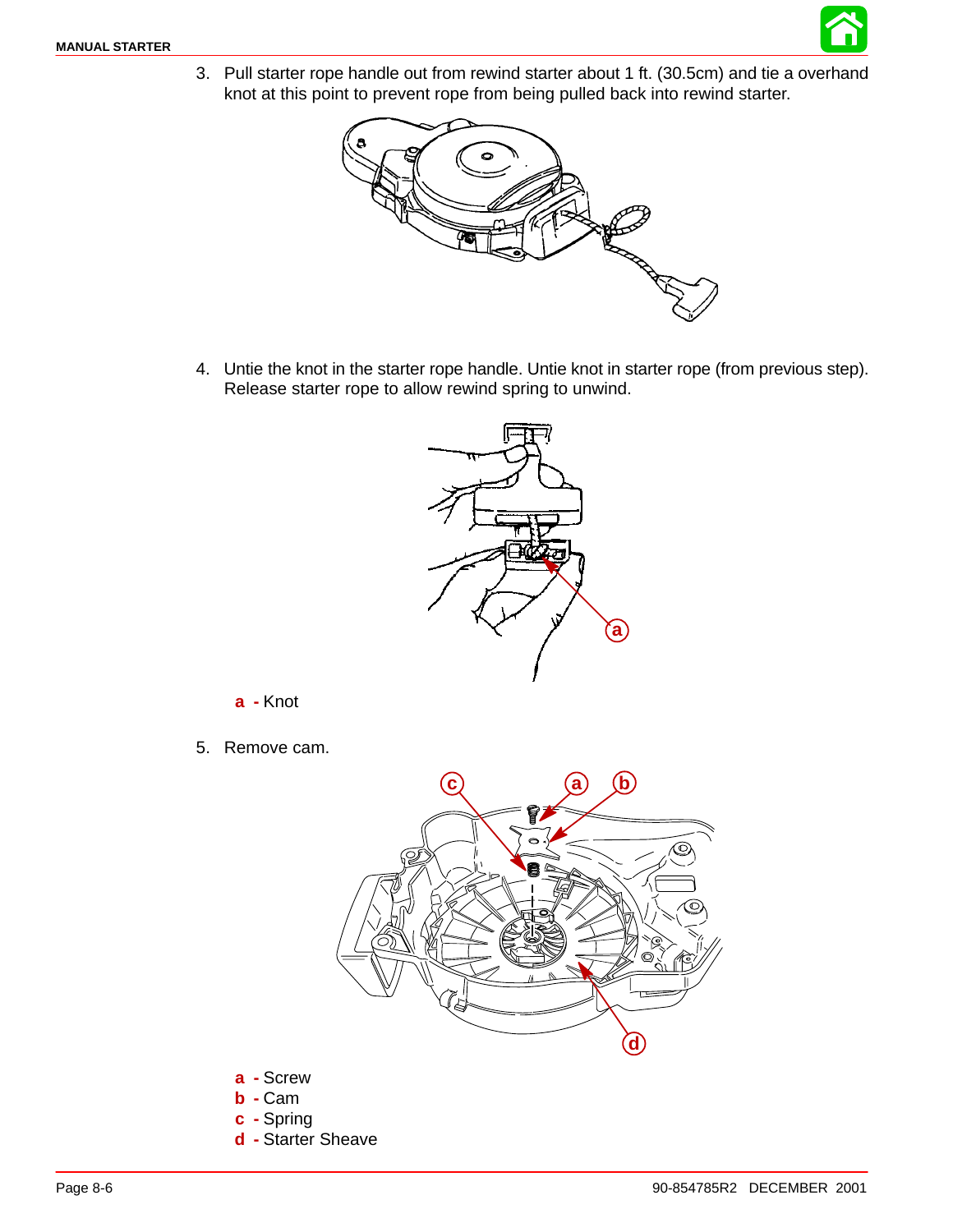

3. Pull starter rope handle out from rewind starter about 1 ft. (30.5cm) and tie a overhand knot at this point to prevent rope from being pulled back into rewind starter.



4. Untie the knot in the starter rope handle. Untie knot in starter rope (from previous step). Release starter rope to allow rewind spring to unwind.



**a -** Knot

5. Remove cam.



- **a -** Screw
- **b -** Cam
- **c -** Spring
- **d -** Starter Sheave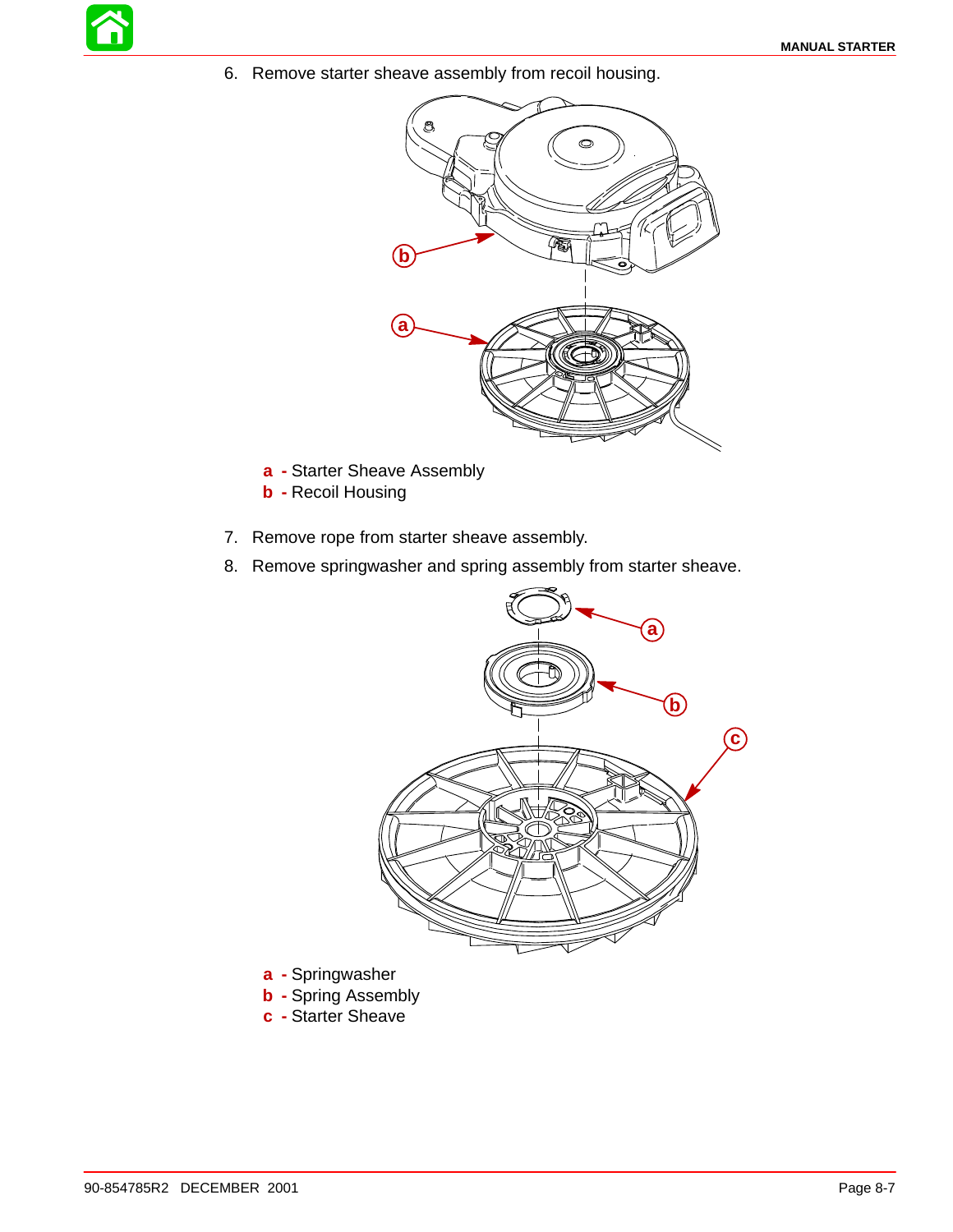6. Remove starter sheave assembly from recoil housing.



- **a -** Starter Sheave Assembly
- **b -** Recoil Housing
- 7. Remove rope from starter sheave assembly.
- 8. Remove springwasher and spring assembly from starter sheave.



- **a -** Springwasher
- **b -** Spring Assembly
- **c -** Starter Sheave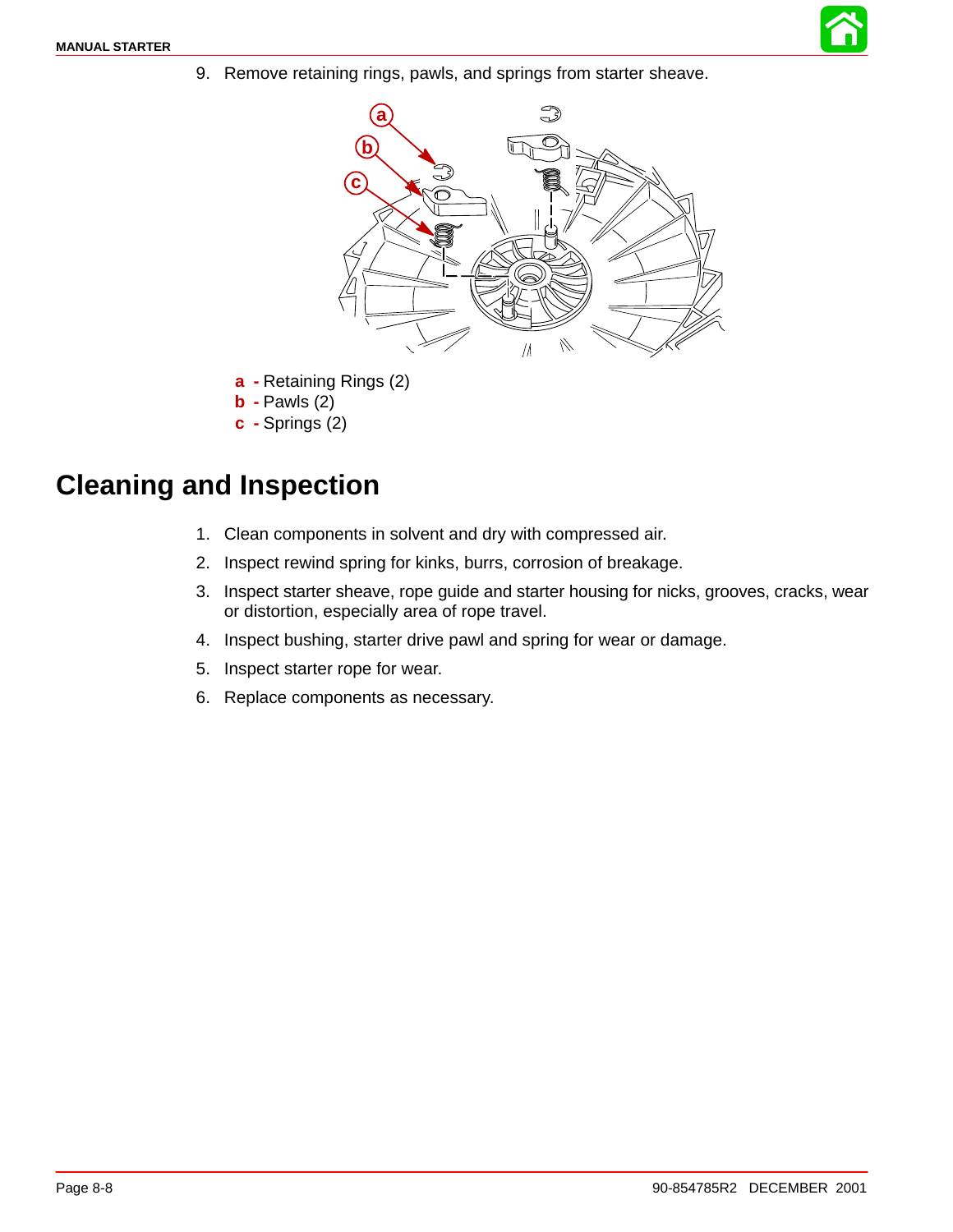

9. Remove retaining rings, pawls, and springs from starter sheave.



- **a -** Retaining Rings (2)
- **b -** Pawls (2)
- **c -** Springs (2)

## **Cleaning and Inspection**

- 1. Clean components in solvent and dry with compressed air.
- 2. Inspect rewind spring for kinks, burrs, corrosion of breakage.
- 3. Inspect starter sheave, rope guide and starter housing for nicks, grooves, cracks, wear or distortion, especially area of rope travel.
- 4. Inspect bushing, starter drive pawl and spring for wear or damage.
- 5. Inspect starter rope for wear.
- 6. Replace components as necessary.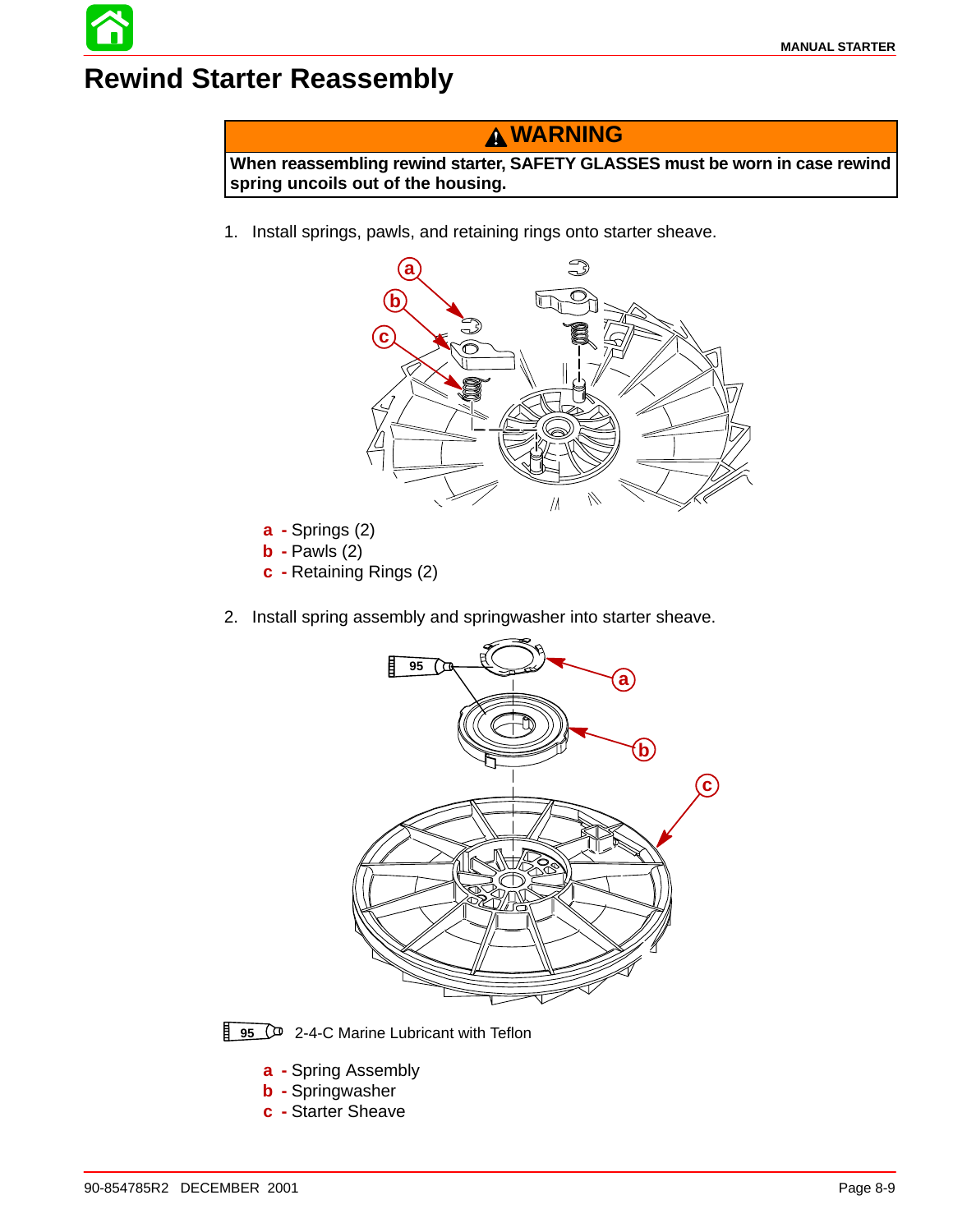## **Rewind Starter Reassembly**

#### **WARNING**

**When reassembling rewind starter, SAFETY GLASSES must be worn in case rewind spring uncoils out of the housing.**

1. Install springs, pawls, and retaining rings onto starter sheave.



- **b -** Pawls (2)
- **c -** Retaining Rings (2)





- **a -** Spring Assembly
- **b -** Springwasher
- **c -** Starter Sheave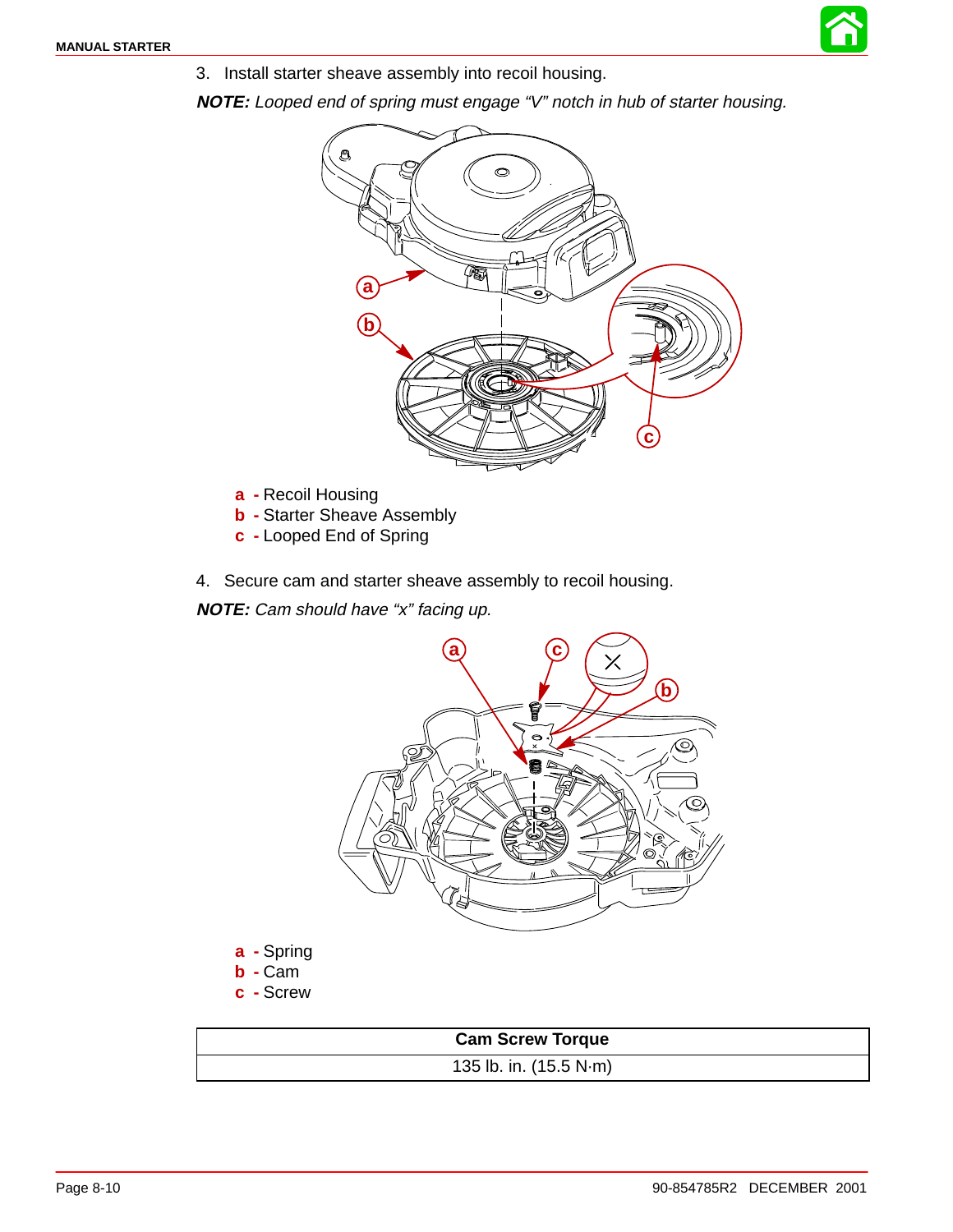

3. Install starter sheave assembly into recoil housing.

**NOTE:** Looped end of spring must engage "V" notch in hub of starter housing.



- **a -** Recoil Housing
- **b** Starter Sheave Assembly
- **c -** Looped End of Spring
- 4. Secure cam and starter sheave assembly to recoil housing.

**NOTE:** Cam should have "x" facing up.



135 lb. in. (15.5 N·m)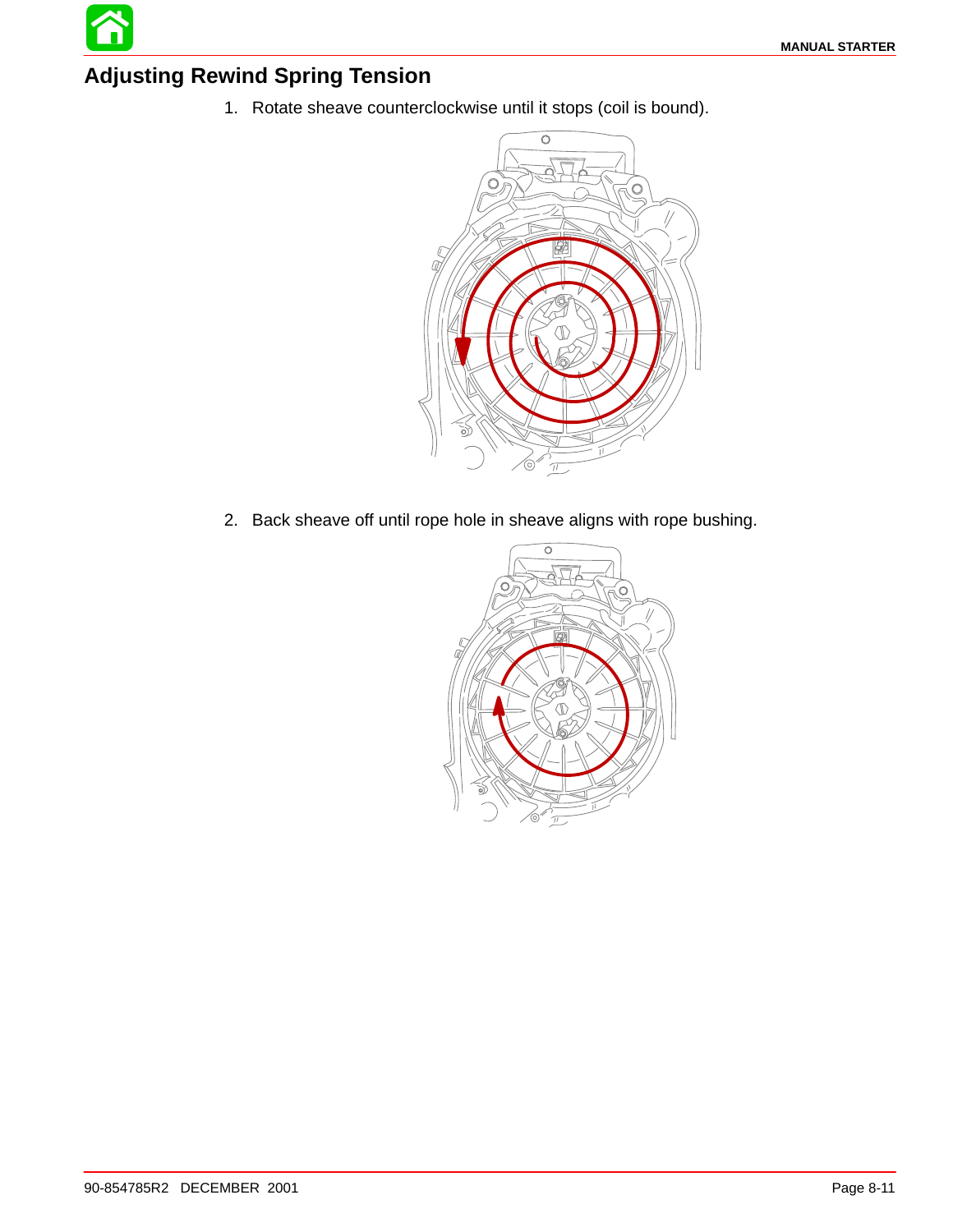#### **Adjusting Rewind Spring Tension**

1. Rotate sheave counterclockwise until it stops (coil is bound).



2. Back sheave off until rope hole in sheave aligns with rope bushing.

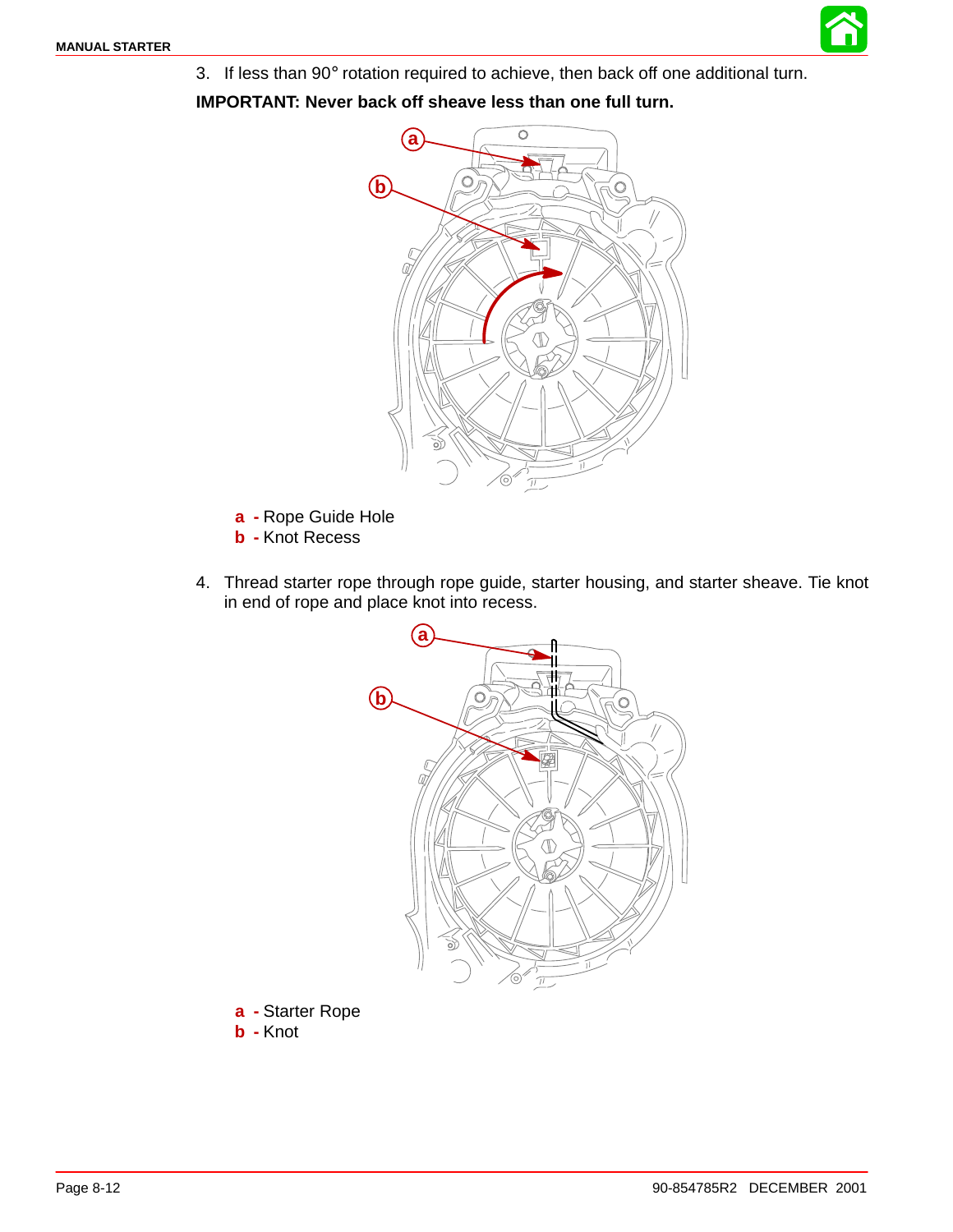

**IMPORTANT: Never back off sheave less than one full turn.**



- **a -** Rope Guide Hole
- **b -** Knot Recess
- 4. Thread starter rope through rope guide, starter housing, and starter sheave. Tie knot in end of rope and place knot into recess.



**a -** Starter Rope **b -** Knot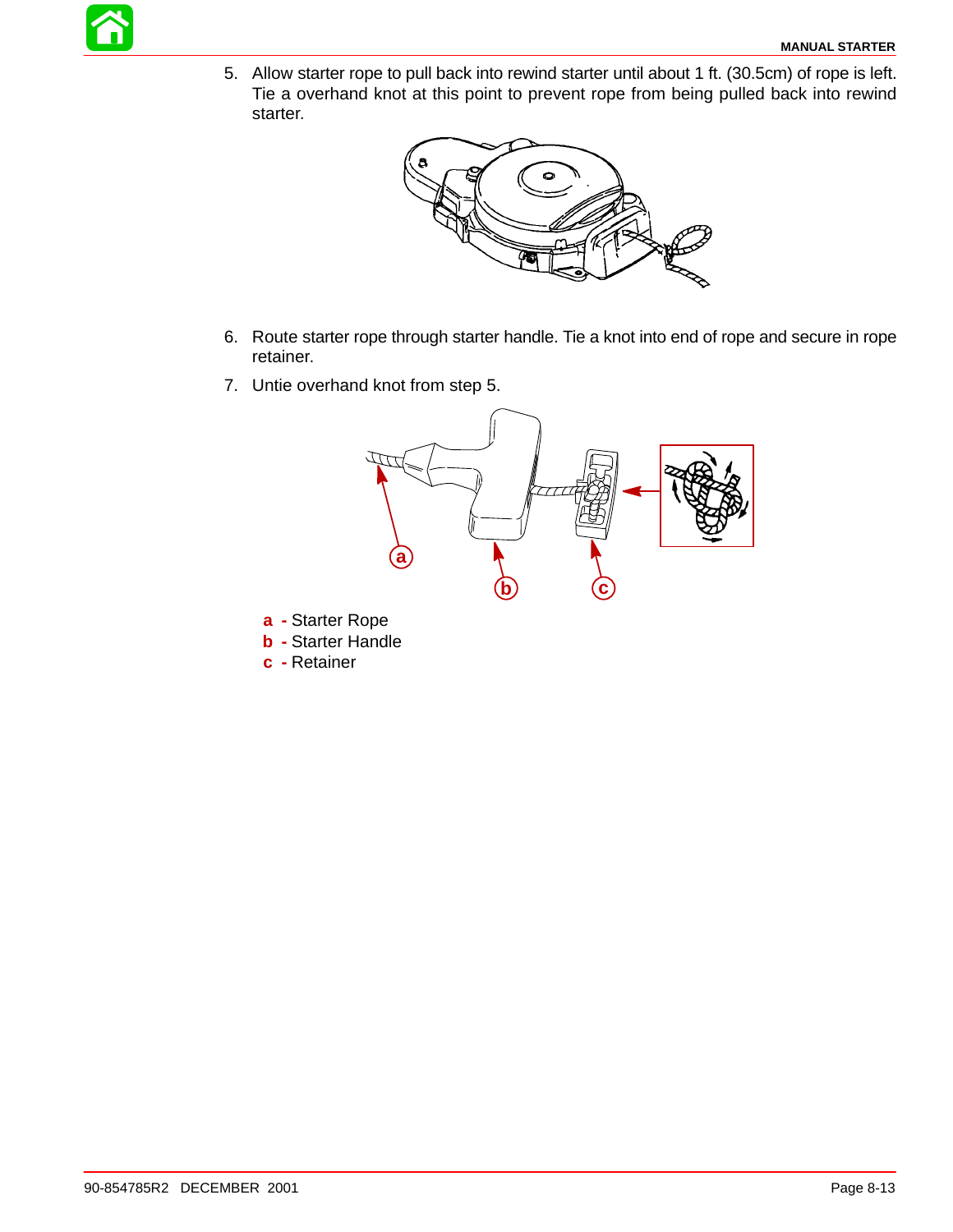5. Allow starter rope to pull back into rewind starter until about 1 ft. (30.5cm) of rope is left. Tie a overhand knot at this point to prevent rope from being pulled back into rewind starter.



- 6. Route starter rope through starter handle. Tie a knot into end of rope and secure in rope retainer.
- 7. Untie overhand knot from step 5.



- **a -** Starter Rope
- **b -** Starter Handle
- **c -** Retainer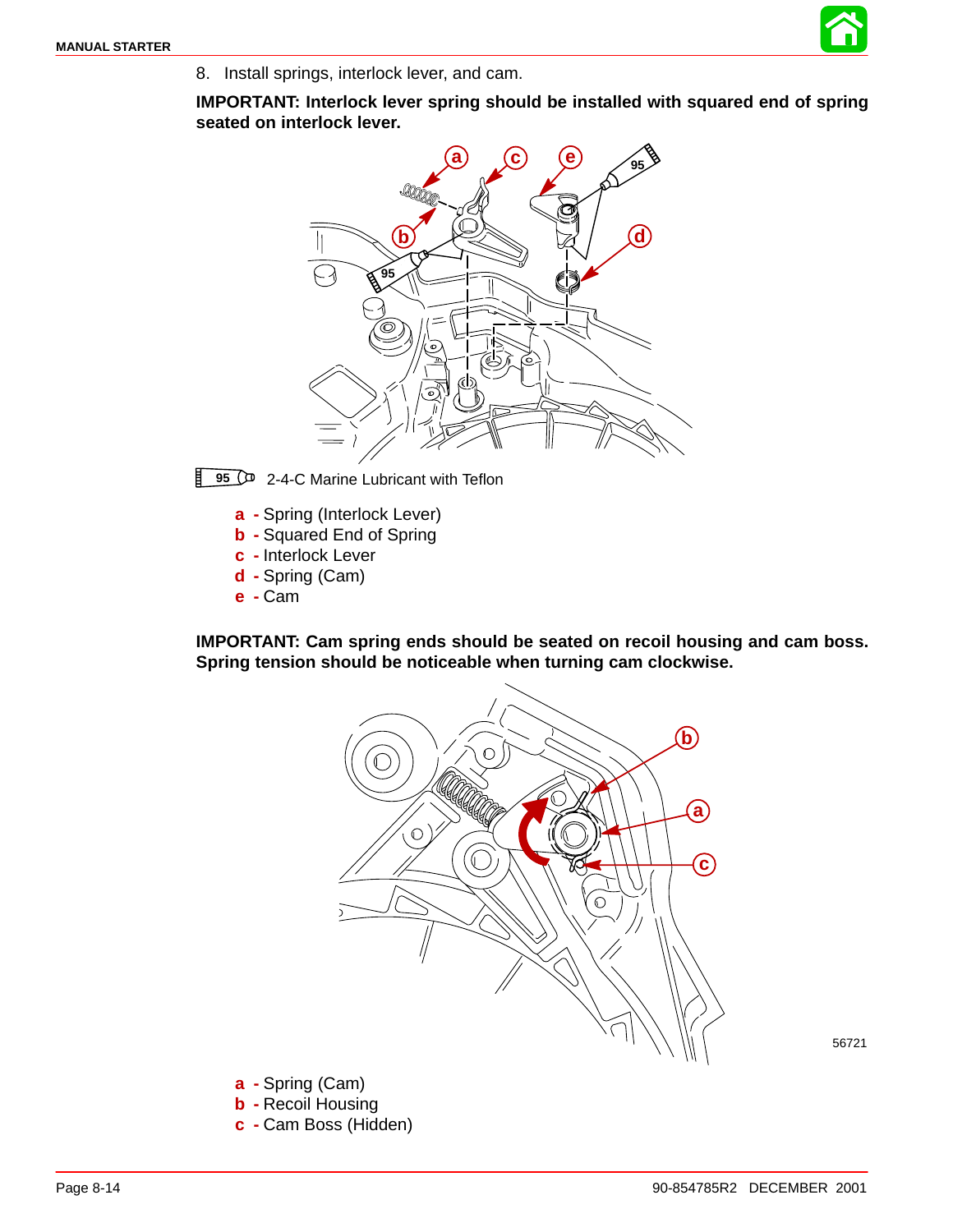

8. Install springs, interlock lever, and cam.

**IMPORTANT: Interlock lever spring should be installed with squared end of spring seated on interlock lever.**



卙 **95**  $\circ$  2-4-C Marine Lubricant with Teflon

- **a -** Spring (Interlock Lever)
- **b -** Squared End of Spring
- **c -** Interlock Lever
- **d -** Spring (Cam)
- **e -** Cam

**IMPORTANT: Cam spring ends should be seated on recoil housing and cam boss. Spring tension should be noticeable when turning cam clockwise.**



56721

- **a -** Spring (Cam)
- **b -** Recoil Housing
- **c -** Cam Boss (Hidden)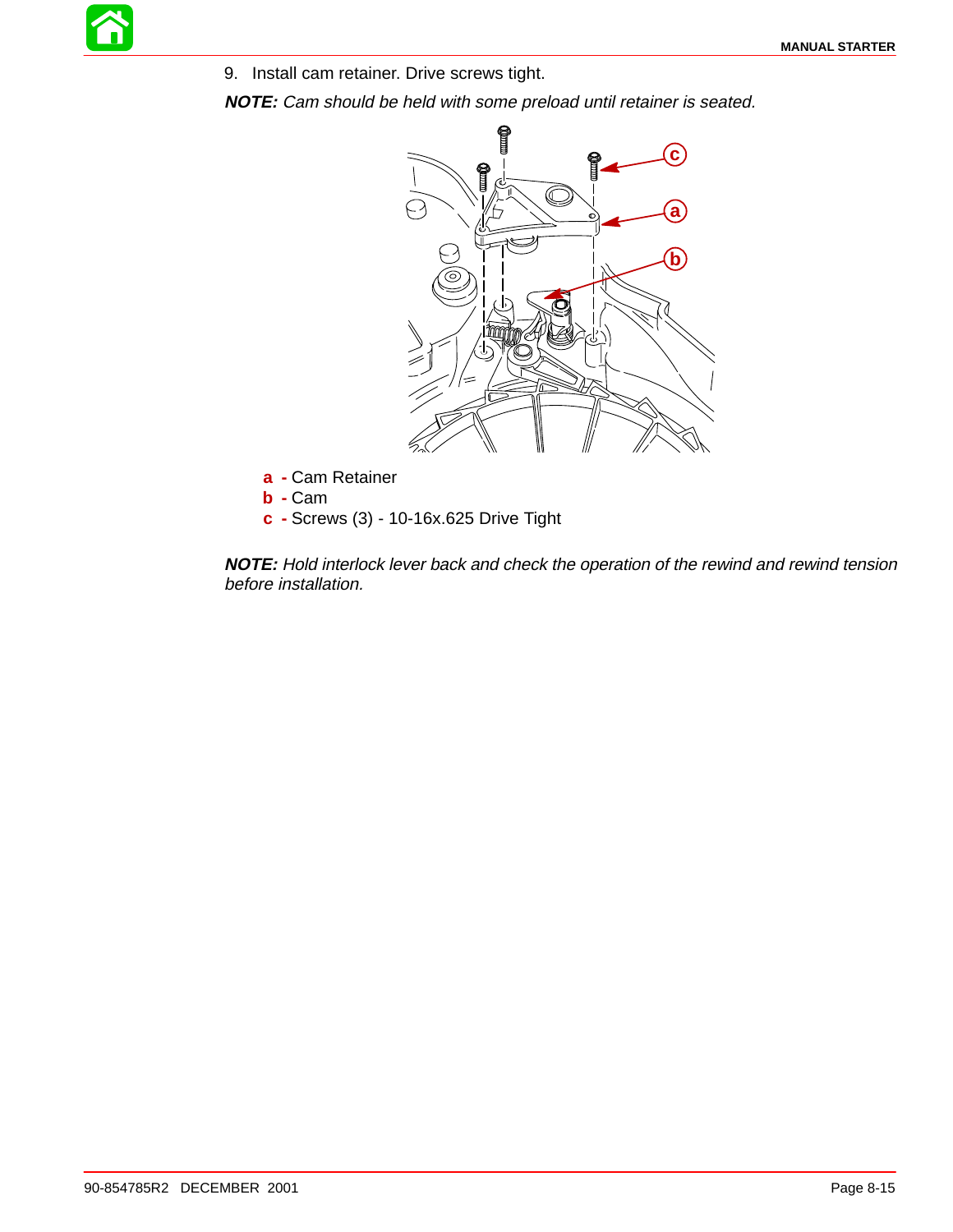9. Install cam retainer. Drive screws tight.

**NOTE:** Cam should be held with some preload until retainer is seated.



- **a -** Cam Retainer
- **b -** Cam
- **c -** Screws (3) 10-16x.625 Drive Tight

**NOTE:** Hold interlock lever back and check the operation of the rewind and rewind tension before installation.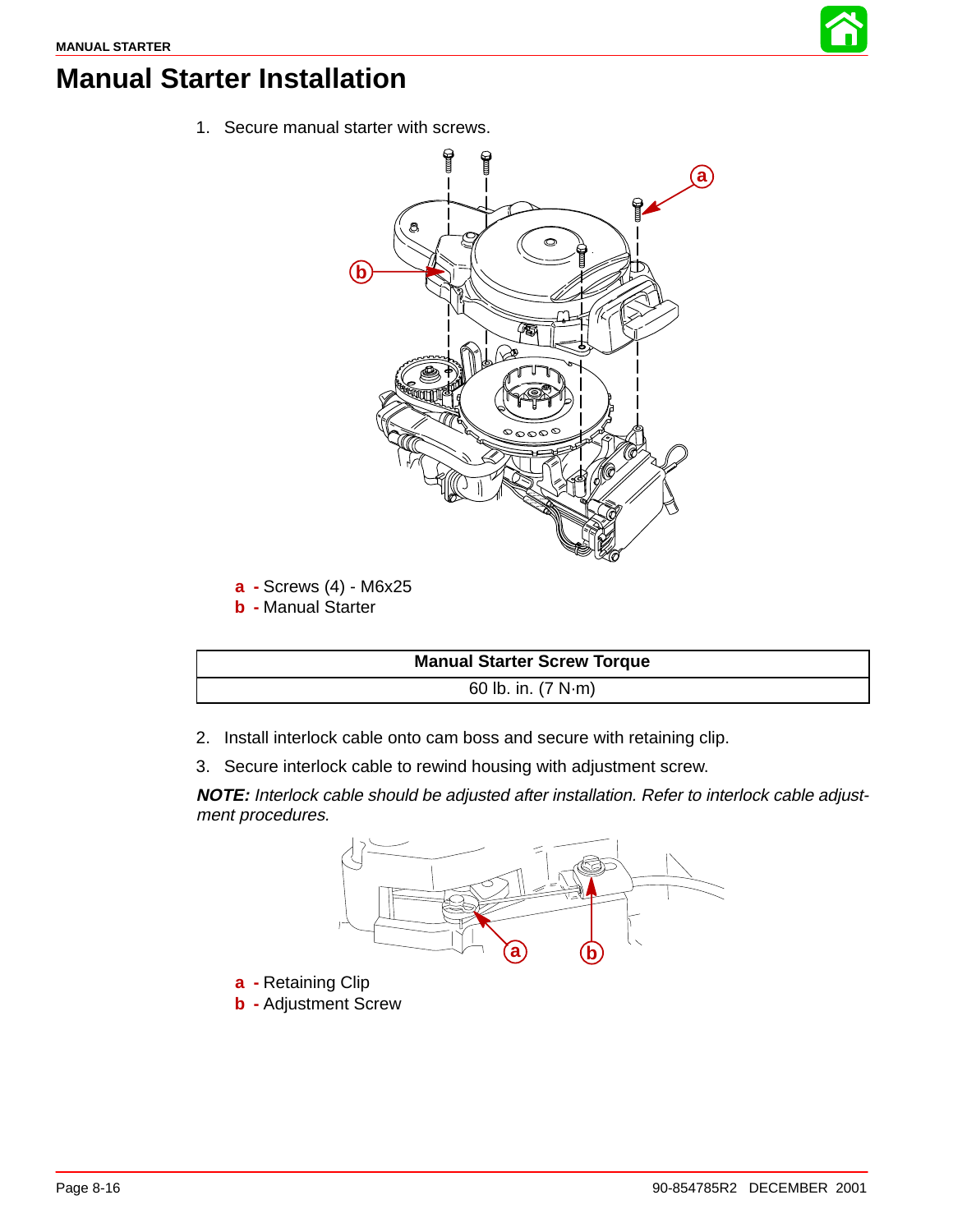

# **Manual Starter Installation**

1. Secure manual starter with screws.



- **a -** Screws (4) M6x25
- **b -** Manual Starter



- 2. Install interlock cable onto cam boss and secure with retaining clip.
- 3. Secure interlock cable to rewind housing with adjustment screw.

**NOTE:** Interlock cable should be adjusted after installation. Refer to interlock cable adjustment procedures.



- **a -** Retaining Clip
- **b -** Adjustment Screw